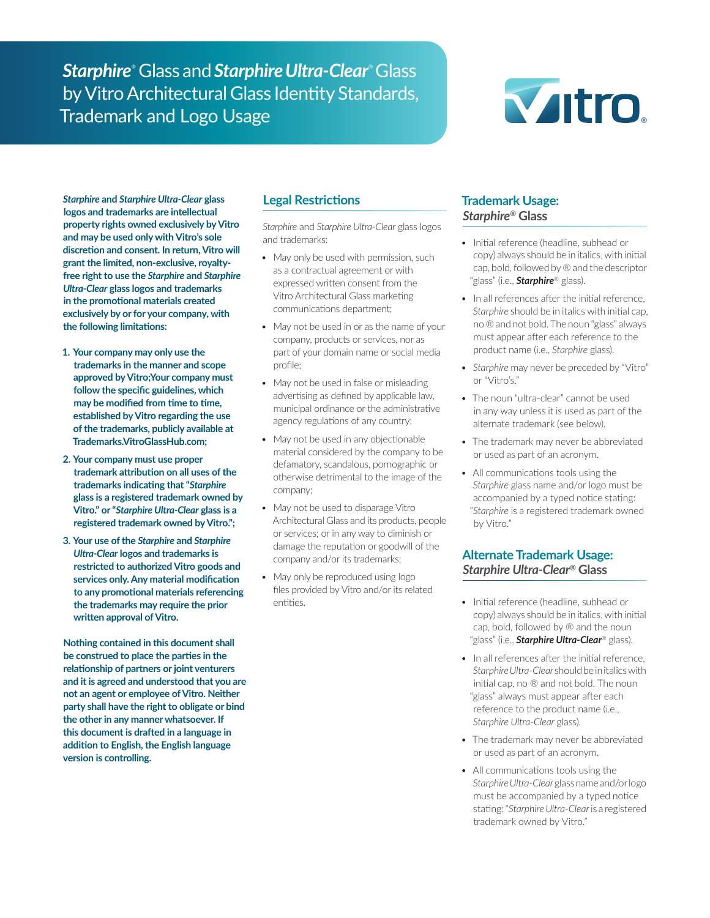*Starphire*® Glass and *Starphire Ultra-Clear*® Glass by Vitro Architectural Glass Identity Standards, Trademark and Logo Usage



*Starphire* **and** *Starphire Ultra-Clear* **glass logos and trademarks are intellectual property rights owned exclusively by Vitro and may be used only with Vitro's sole discretion and consent. In return, Vitro will grant the limited, non-exclusive, royaltyfree right to use the** *Starphire* **and** *Starphire Ultra-Clear* **glass logos and trademarks in the promotional materials created exclusively by or for your company, with the following limitations:**

- **1. Your company may only use the trademarks in the manner and scope approved by Vitro;Your company must follow the specific guidelines, which may be modified from time to time, established by Vitro regarding the use of the trademarks, publicly available at Trademarks.VitroGlassHub.com;**
- **2. Your company must use proper trademark attribution on all uses of the trademarks indicating that "***Starphire* **glass is a registered trademark owned by Vitro." or "***Starphire Ultra-Clear* **glass is a registered trademark owned by Vitro.";**
- **3. Your use of the** *Starphire* **and** *Starphire Ultra-Clear* **logos and trademarks is restricted to authorized Vitro goods and services only. Any material modification to any promotional materials referencing the trademarks may require the prior written approval of Vitro.**

**Nothing contained in this document shall be construed to place the parties in the relationship of partners or joint venturers and it is agreed and understood that you are not an agent or employee of Vitro. Neither party shall have the right to obligate or bind the other in any manner whatsoever. If this document is drafted in a language in addition to English, the English language version is controlling.**

## **Legal Restrictions**

*Starphire* and *Starphire Ultra-Clear* glass logos and trademarks:

- May only be used with permission, such as a contractual agreement or with expressed written consent from the Vitro Architectural Glass marketing communications department;
- May not be used in or as the name of your company, products or services, nor as part of your domain name or social media profile;
- May not be used in false or misleading advertising as defined by applicable law, municipal ordinance or the administrative agency regulations of any country;
- May not be used in any objectionable material considered by the company to be defamatory, scandalous, pornographic or otherwise detrimental to the image of the company;
- May not be used to disparage Vitro Architectural Glass and its products, people or services; or in any way to diminish or damage the reputation or goodwill of the company and/or its trademarks;
- May only be reproduced using logo files provided by Vitro and/or its related entities.

# **Trademark Usage:**  *Starphire®* **Glass**

- Initial reference (headline, subhead or copy) always should be in italics, with initial cap, bold, followed by ® and the descriptor "glass" (i.e., *Starphire*® glass).
- In all references after the initial reference, *Starphire* should be in italics with initial cap, no ® and not bold. The noun "glass" always must appear after each reference to the product name (i.e., *Starphire* glass).
- *• Starphire* may never be preceded by "Vitro" or "Vitro's."
- The noun "ultra-clear" cannot be used in any way unless it is used as part of the alternate trademark (see below).
- The trademark may never be abbreviated or used as part of an acronym.
- All communications tools using the *Starphire* glass name and/or logo must be accompanied by a typed notice stating: "*Starphire* is a registered trademark owned by Vitro."

## **Alternate Trademark Usage:** *Starphire Ultra-Clear®* **Glass**

- Initial reference (headline, subhead or copy) always should be in italics, with initial cap, bold, followed by ® and the noun "glass" (i.e., *Starphire Ultra-Clear*® glass).
- In all references after the initial reference, *Starphire Ultra-Clear* should be in italics with initial cap, no ® and not bold. The noun "glass" always must appear after each reference to the product name (i.e., *Starphire Ultra-Clear* glass).
- The trademark may never be abbreviated or used as part of an acronym.
- All communications tools using the *Starphire Ultra-Clear* glass name and/or logo must be accompanied by a typed notice stating: "*Starphire Ultra-Clear* is a registered trademark owned by Vitro."